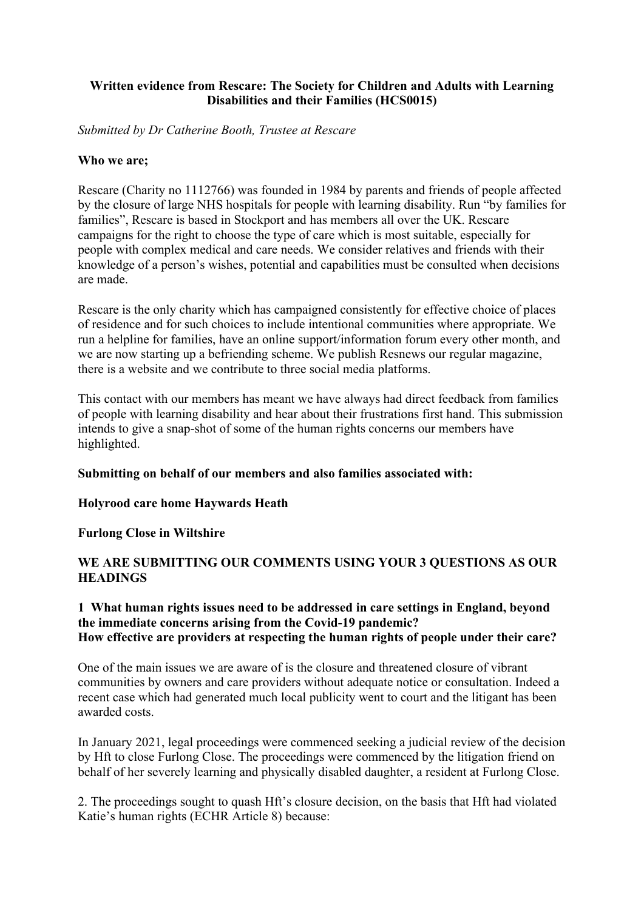## **Written evidence from Rescare: The Society for Children and Adults with Learning Disabilities and their Families (HCS0015)**

*Submitted by Dr Catherine Booth, Trustee at Rescare*

#### **Who we are;**

Rescare (Charity no 1112766) was founded in 1984 by parents and friends of people affected by the closure of large NHS hospitals for people with learning disability. Run "by families for families", Rescare is based in Stockport and has members all over the UK. Rescare campaigns for the right to choose the type of care which is most suitable, especially for people with complex medical and care needs. We consider relatives and friends with their knowledge of a person's wishes, potential and capabilities must be consulted when decisions are made.

Rescare is the only charity which has campaigned consistently for effective choice of places of residence and for such choices to include intentional communities where appropriate. We run a helpline for families, have an online support/information forum every other month, and we are now starting up a befriending scheme. We publish Resnews our regular magazine, there is a website and we contribute to three social media platforms.

This contact with our members has meant we have always had direct feedback from families of people with learning disability and hear about their frustrations first hand. This submission intends to give a snap-shot of some of the human rights concerns our members have highlighted.

### **Submitting on behalf of our members and also families associated with:**

### **Holyrood care home Haywards Heath**

### **Furlong Close in Wiltshire**

## **WE ARE SUBMITTING OUR COMMENTS USING YOUR 3 QUESTIONS AS OUR HEADINGS**

### **1 What human rights issues need to be addressed in care settings in England, beyond the immediate concerns arising from the Covid-19 pandemic? How effective are providers at respecting the human rights of people under their care?**

One of the main issues we are aware of is the closure and threatened closure of vibrant communities by owners and care providers without adequate notice or consultation. Indeed a recent case which had generated much local publicity went to court and the litigant has been awarded costs.

In January 2021, legal proceedings were commenced seeking a judicial review of the decision by Hft to close Furlong Close. The proceedings were commenced by the litigation friend on behalf of her severely learning and physically disabled daughter, a resident at Furlong Close.

2. The proceedings sought to quash Hft's closure decision, on the basis that Hft had violated Katie's human rights (ECHR Article 8) because: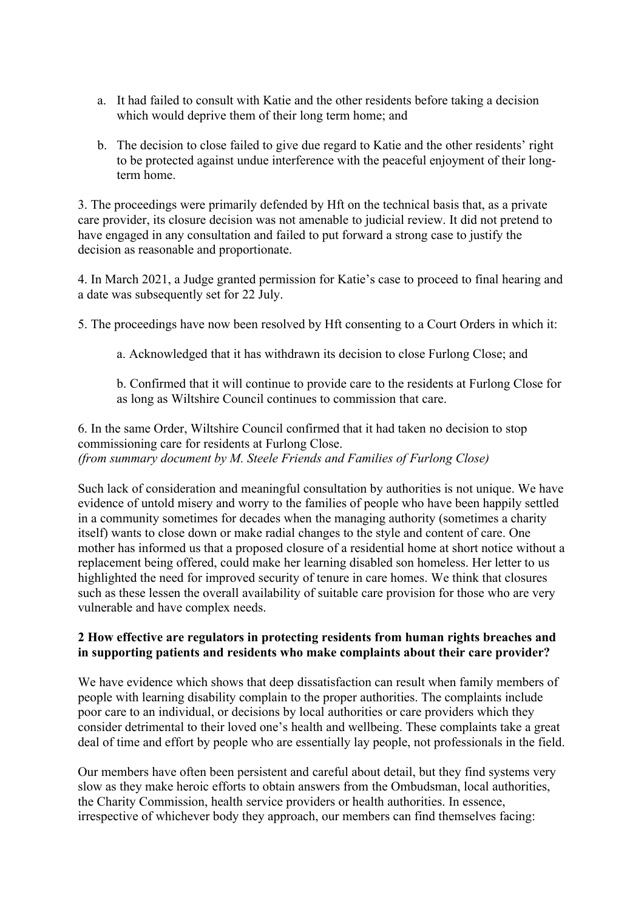- a. It had failed to consult with Katie and the other residents before taking a decision which would deprive them of their long term home; and
- b. The decision to close failed to give due regard to Katie and the other residents' right to be protected against undue interference with the peaceful enjoyment of their longterm home.

3. The proceedings were primarily defended by Hft on the technical basis that, as a private care provider, its closure decision was not amenable to judicial review. It did not pretend to have engaged in any consultation and failed to put forward a strong case to justify the decision as reasonable and proportionate.

4. In March 2021, a Judge granted permission for Katie's case to proceed to final hearing and a date was subsequently set for 22 July.

5. The proceedings have now been resolved by Hft consenting to a Court Orders in which it:

a. Acknowledged that it has withdrawn its decision to close Furlong Close; and

b. Confirmed that it will continue to provide care to the residents at Furlong Close for as long as Wiltshire Council continues to commission that care.

6. In the same Order, Wiltshire Council confirmed that it had taken no decision to stop commissioning care for residents at Furlong Close. *(from summary document by M. Steele Friends and Families of Furlong Close)*

Such lack of consideration and meaningful consultation by authorities is not unique. We have evidence of untold misery and worry to the families of people who have been happily settled in a community sometimes for decades when the managing authority (sometimes a charity itself) wants to close down or make radial changes to the style and content of care. One mother has informed us that a proposed closure of a residential home at short notice without a replacement being offered, could make her learning disabled son homeless. Her letter to us highlighted the need for improved security of tenure in care homes. We think that closures such as these lessen the overall availability of suitable care provision for those who are very vulnerable and have complex needs.

## **2 How effective are regulators in protecting residents from human rights breaches and in supporting patients and residents who make complaints about their care provider?**

We have evidence which shows that deep dissatisfaction can result when family members of people with learning disability complain to the proper authorities. The complaints include poor care to an individual, or decisions by local authorities or care providers which they consider detrimental to their loved one's health and wellbeing. These complaints take a great deal of time and effort by people who are essentially lay people, not professionals in the field.

Our members have often been persistent and careful about detail, but they find systems very slow as they make heroic efforts to obtain answers from the Ombudsman, local authorities, the Charity Commission, health service providers or health authorities. In essence, irrespective of whichever body they approach, our members can find themselves facing: